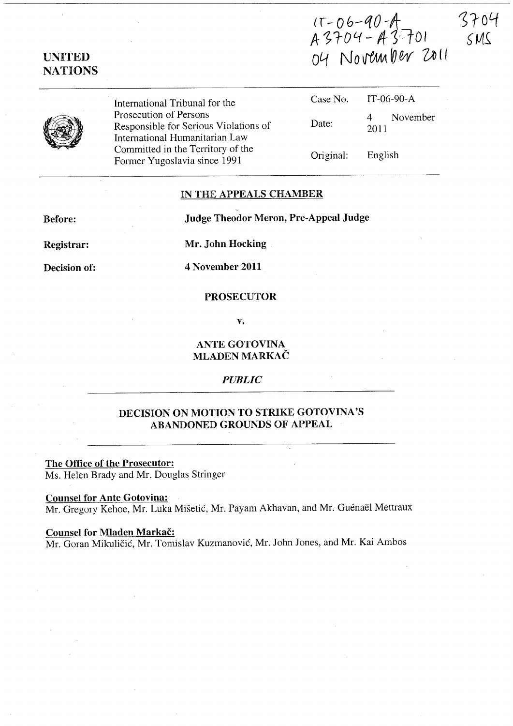$(\tau - 0.6 - 90 - A)$ A 3704 - A 3 701 *04* No~~w 'OJI(



UNITED **NATIONS** 

> International Tribunal for the Prosecution of Persons Responsible for Serious Violations of International Humanitarian Law Committed in the Territory of the Former Yugoslavia since 1991

| Case No.  | $IT-06-90-A$                       |
|-----------|------------------------------------|
| Date:     | November<br>$\overline{4}$<br>2011 |
| Original: | English                            |

# IN THE APPEALS CHAMBER

Before:

Judge Theodor Meron, Pre-Appeal Judge

Registrar:

Mr. John Hocking

Decision of:

4 November 2011

### PROSECUTOR

v.

# ANTE GOTOVINA MLADEN MARKAC

### *PUBLIC*

# DECISION ON MOTION TO STRIKE GOTOVINA'S ABANDONED GROUNDS OF APPEAL

The Office of the Prosecutor: Ms. Helen Brady and Mr. Douglas Stringer

Counsel for Ante Gotovina:

Mr. Gregory Kehoe, Mr. Luka Mišetić, Mr. Payam Akhavan, and Mr. Guénaël Mettraux

#### Counsel for Mladen Markač:

Mr. Goran Mikuličić, Mr. Tomislav Kuzmanović, Mr. John Jones, and Mr. Kai Ambos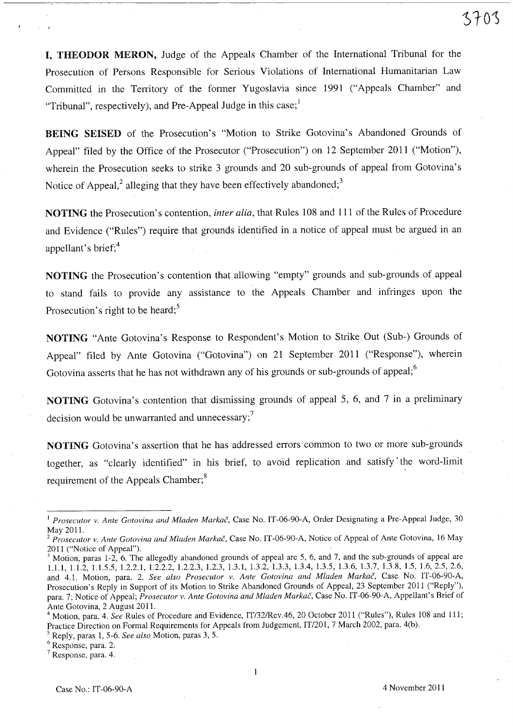I, THEODOR MERON, Judge of the Appeals Chamber of the International Tribunal for the Prosecution of Persons Responsible for Serious Violations of International Humanitarian Law Committed in the Territory of the former Yugoslavia since 1991 ("Appeals Chamber" and "Tribunal", respectively), and Pre-Appeal Judge in this case;

BEING SEISED of the Prosecution's "Motion to Strike Gotovina's Abandoned Grounds of Appeal" filed by the Office of the Prosecutor ("Prosecution") on 12 September 2011 ("Motion"), wherein the Prosecution seeks to strike 3 grounds and 20 sub-grounds of appeal from Gotovina's Notice of Appeal, $^2$  alleging that they have been effectively abandoned; $^3$ 

NOTING the Prosecution's contention, *inter alia,* that Rules 108 and 111 of the Rules of Procedure and Evidence ("Rules") require that grounds identified in a notice of appeal must be argued in an appellant's brief;<sup>4</sup>

NOTING the Prosecution's contention that allowing "empty" grounds and sub-grounds of appeal to stand fails to provide any assistance to the Appeals Chamber and infringes upon the Prosecution's right to be heard; $5$ 

NOTING "Ante Gotovina's Response to Respondent's Motion to Strike Out (Sub-) Grounds of Appeal" filed by Ante Gotovina ("Gotovina") on 21 September 2011 ("Response"), wherein Gotovina asserts that he has not withdrawn any of his grounds or sub-grounds of appeal; $<sup>6</sup>$ </sup>

NOTING Gotovina's contention that dismissing grounds of appeal 5, 6, and 7 in a preliminary decision would be unwarranted and unnecessary; $<sup>7</sup>$ </sup>

NOTING Gotovina's assertion that he has addressed errors common to two or more sub-grounds together, as "clearly identified" in his brief, to avoid replication and satisfy' the word-limit requirement of the Appeals Chamber;<sup>8</sup>

<sup>&</sup>lt;sup>1</sup> Prosecutor v. Ante Gotovina and Mladen Markač, Case No. IT-06-90-A, Order Designating a Pre-Appeal Judge, 30 May 2011.

*<sup>2</sup> Prosecutor v. Ante Gotovina and Mladen Markac,* Case No. IT-06-90-A, Notice of Appeal of Ante Gotovina, 16 May 2011 ("Notice of Appeal").

<sup>&</sup>lt;sup>3</sup> Motion, paras 1-2, 6. The allegedly abandoned grounds of appeal are 5, 6, and 7, and the sub-grounds of appeal are 1.1.1, 1.1.2, 1.1.5.5, 1.2.2.1, 1.2.2.2, 1.2.2.3, 1.2.3, 1.3.1,1.3.2, 1.3.3, 1.3.4, 1.3.5, 1.3.6, 1.3.7,·1.3.8, 1.5, 1.6,2.5,2.6, and 4.1. Motion, para. 2. *See also Prosecutor v. Ante Gotovina and Mladen Markac,* Case No. IT-06-90-A, Prosecution's Reply in Support of its Motion to Strike Abandoned Grounds of Appeal, 23 September 2011 ("Reply"), para. 7; Notice of Appeal; *Prosecutor v. Ante Gotovina and Mladen Markač*, Case No. IT-06-90-A, Appellant's Brief of Ante Gotovina, 2 August 2011.

<sup>4</sup> Motion, para. 4. *See* Rules of Procedure and Evidence, IT/32/Rev.46, 20 October 2011 ("Rules"), Rules 108 and 111; Practice Direction on Formal Requirements for Appeals from Judgement, IT/201, 7 March 2002, para. 4(b).

<sup>5</sup> Reply, paras 1, 5-6. *See also* Motion, paras 3, 5.

<sup>&</sup>lt;sup>6</sup> Response, para. 2.

<sup>7</sup> Response, para. 4.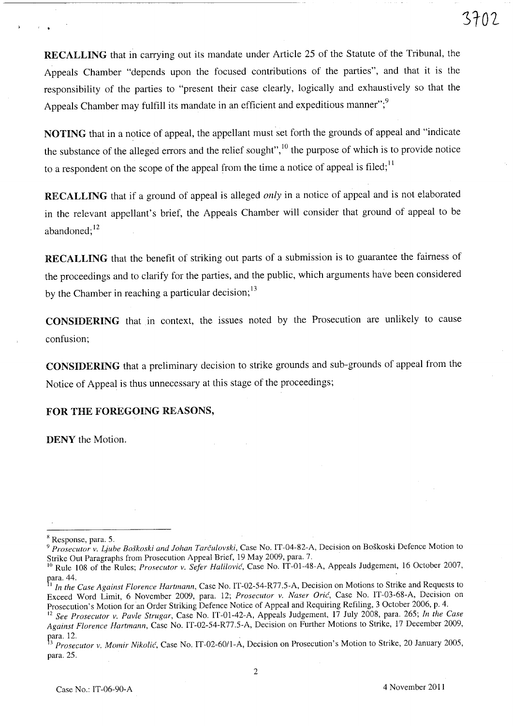RECALLING that in carrying out its mandate under Article 25 of the Statute of the Tribunal, the Appeals Chamber "depends upon the focused contributions of the parties", and that it is the responsibility of the parties to "present their case clearly, logically and exhaustively so that the Appeals Chamber may fulfill its mandate in an efficient and expeditious manner";<sup>9</sup>

NOTING that in a notice of appeal, the appellant must set forth the grounds of appeal and "indicate the substance of the alleged errors and the relief sought", $^{10}$  the purpose of which is to provide notice to a respondent on the scope of the appeal from the time a notice of appeal is filed;<sup>11</sup>

RECALLING that if a ground of appeal is alleged *only* in a notice of appeal and is not elaborated in the relevant appellant's brief, the Appeals Chamber will consider that ground of appeal to be abandoned;<sup>12</sup>

RECALLING that the benefit of striking out parts of a submission is to guarantee the fairness of the proceedings and to clarify for the parties, and the public, which arguments have been considered by the Chamber in reaching a particular decision;<sup>13</sup>

CONSIDERING that in context, the issues noted by the Prosecution are unlikely to cause confusion;

CONSIDERING that a preliminary decision to strike grounds and sub-grounds of appeal from the Notice of Appeal is thus unnecessary at this stage of the proceedings;

### FOR THE FOREGOING REASONS,

DENY the Motion.

, .

2

<sup>&</sup>lt;sup>8</sup> Response, para. 5.

*<sup>9</sup> Prosecutor v. Ljuhe Boskoski and lohan Tarculovski,* Case No. IT-04-S2-A, Decision on Boskoski Defence Motion to Strike Out Paragraphs from Prosecution Appeal Brief, 19 May 2009, para. 7.

<sup>&</sup>lt;sup>10</sup> Rule 108 of the Rules; *Prosecutor v. Sefer Halilović*, Case No. IT-01-48-A, Appeals Judgement, 16 October 2007,  $\alpha$ ra. 44.  $\alpha$ 

<sup>I</sup>*In the Case Against Florence Hartmann,* Case No. IT-02-S4-R77.S-A, Decision on Motions to Strike and Requests to Exceed Word Limit, 6 November 2009, para. 12; *Prosecutor v. Naser Oric,* Case No. IT-03-6S-A, Decision on Prosecution's Motion for an Order Striking Defence Notice of Appeal and Requiring Refiling, 3 October 2006, p. 4.

<sup>12</sup>*See Prosecutor v. Pavle Strugar,* Case No. IT-01-42-A, Appeals Judgement, 17 July 200S, para. 26S; *In the Case Against Florence Hartmann*, Case No. IT-02-54-R77.5-A, Decision on Further Motions to Strike, 17 December 2009, para. 12. para. 12.

<sup>3</sup>*Prosecutor v. Momir Nikolic,* Case No. IT-02-601l-A, Decision on Prosecution's Motion to Strike, 20 January 200S, para.2S.